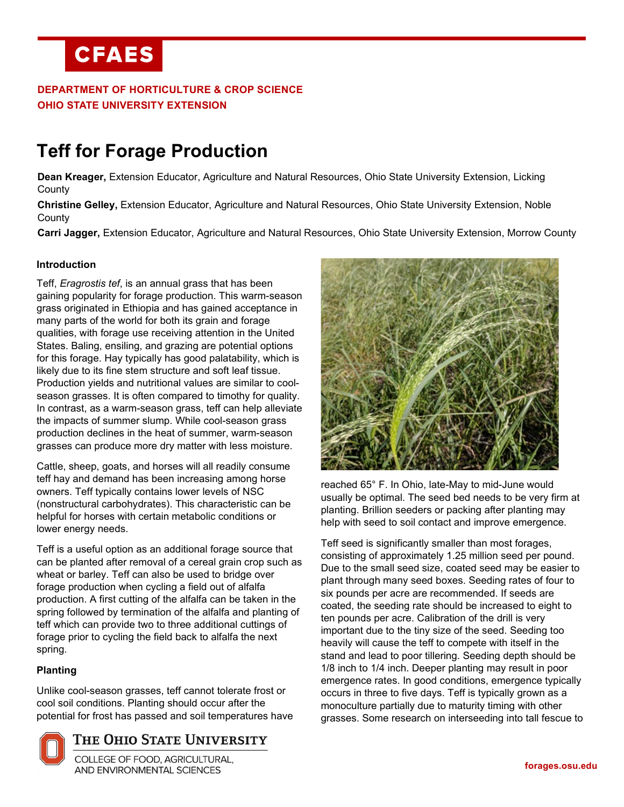## **DEPARTMENT OF HORTICULTURE & CROP SCIENCE OHIO STATE UNIVERSITY EXTENSION**

# **Teff for Forage Production**

**Dean Kreager,** Extension Educator, Agriculture and Natural Resources, Ohio State University Extension, Licking **County** 

**Christine Gelley,** Extension Educator, Agriculture and Natural Resources, Ohio State University Extension, Noble **County** 

**Carri Jagger,** Extension Educator, Agriculture and Natural Resources, Ohio State University Extension, Morrow County

## **Introduction**

Teff, *Eragrostis tef*, is an annual grass that has been gaining popularity for forage production. This warm-season grass originated in Ethiopia and has gained acceptance in many parts of the world for both its grain and forage qualities, with forage use receiving attention in the United States. Baling, ensiling, and grazing are potential options for this forage. Hay typically has good palatability, which is likely due to its fine stem structure and soft leaf tissue. Production yields and nutritional values are similar to coolseason grasses. It is often compared to timothy for quality. In contrast, as a warm-season grass, teff can help alleviate the impacts of summer slump. While cool-season grass production declines in the heat of summer, warm-season grasses can produce more dry matter with less moisture.

Cattle, sheep, goats, and horses will all readily consume teff hay and demand has been increasing among horse owners. Teff typically contains lower levels of NSC (nonstructural carbohydrates). This characteristic can be helpful for horses with certain metabolic conditions or lower energy needs.

Teff is a useful option as an additional forage source that can be planted after removal of a cereal grain crop such as wheat or barley. Teff can also be used to bridge over forage production when cycling a field out of alfalfa production. A first cutting of the alfalfa can be taken in the spring followed by termination of the alfalfa and planting of teff which can provide two to three additional cuttings of forage prior to cycling the field back to alfalfa the next spring.

### **Planting**

Unlike cool-season grasses, teff cannot tolerate frost or cool soil conditions. Planting should occur after the potential for frost has passed and soil temperatures have



COLLEGE OF FOOD, AGRICULTURAL, **AND ENVIRONMENTAL SCIENCES** 



reached 65° F. In Ohio, late-May to mid-June would usually be optimal. The seed bed needs to be very firm at planting. Brillion seeders or packing after planting may help with seed to soil contact and improve emergence.

Teff seed is significantly smaller than most forages, consisting of approximately 1.25 million seed per pound. Due to the small seed size, coated seed may be easier to plant through many seed boxes. Seeding rates of four to six pounds per acre are recommended. If seeds are coated, the seeding rate should be increased to eight to ten pounds per acre. Calibration of the drill is very important due to the tiny size of the seed. Seeding too heavily will cause the teff to compete with itself in the stand and lead to poor tillering. Seeding depth should be 1/8 inch to 1/4 inch. Deeper planting may result in poor emergence rates. In good conditions, emergence typically occurs in three to five days. Teff is typically grown as a monoculture partially due to maturity timing with other grasses. Some research on interseeding into tall fescue to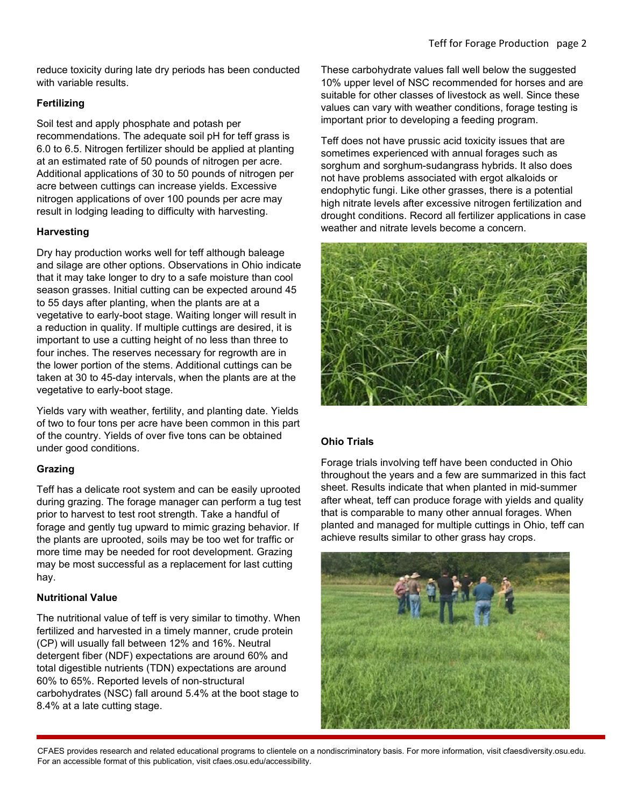reduce toxicity during late dry periods has been conducted with variable results.

## **Fertilizing**

Soil test and apply phosphate and potash per recommendations. The adequate soil pH for teff grass is 6.0 to 6.5. Nitrogen fertilizer should be applied at planting at an estimated rate of 50 pounds of nitrogen per acre. Additional applications of 30 to 50 pounds of nitrogen per acre between cuttings can increase yields. Excessive nitrogen applications of over 100 pounds per acre may result in lodging leading to difficulty with harvesting.

## **Harvesting**

Dry hay production works well for teff although baleage and silage are other options. Observations in Ohio indicate that it may take longer to dry to a safe moisture than cool season grasses. Initial cutting can be expected around 45 to 55 days after planting, when the plants are at a vegetative to early-boot stage. Waiting longer will result in a reduction in quality. If multiple cuttings are desired, it is important to use a cutting height of no less than three to four inches. The reserves necessary for regrowth are in the lower portion of the stems. Additional cuttings can be taken at 30 to 45-day intervals, when the plants are at the vegetative to early-boot stage.

Yields vary with weather, fertility, and planting date. Yields of two to four tons per acre have been common in this part of the country. Yields of over five tons can be obtained under good conditions.

## **Grazing**

Teff has a delicate root system and can be easily uprooted during grazing. The forage manager can perform a tug test prior to harvest to test root strength. Take a handful of forage and gently tug upward to mimic grazing behavior. If the plants are uprooted, soils may be too wet for traffic or more time may be needed for root development. Grazing may be most successful as a replacement for last cutting hay.

### **Nutritional Value**

The nutritional value of teff is very similar to timothy. When fertilized and harvested in a timely manner, crude protein (CP) will usually fall between 12% and 16%. Neutral detergent fiber (NDF) expectations are around 60% and total digestible nutrients (TDN) expectations are around 60% to 65%. Reported levels of non-structural carbohydrates (NSC) fall around 5.4% at the boot stage to 8.4% at a late cutting stage.

These carbohydrate values fall well below the suggested 10% upper level of NSC recommended for horses and are suitable for other classes of livestock as well. Since these values can vary with weather conditions, forage testing is important prior to developing a feeding program.

Teff does not have prussic acid toxicity issues that are sometimes experienced with annual forages such as sorghum and sorghum-sudangrass hybrids. It also does not have problems associated with ergot alkaloids or endophytic fungi. Like other grasses, there is a potential high nitrate levels after excessive nitrogen fertilization and drought conditions. Record all fertilizer applications in case weather and nitrate levels become a concern.



## **Ohio Trials**

Forage trials involving teff have been conducted in Ohio throughout the years and a few are summarized in this fact sheet. Results indicate that when planted in mid-summer after wheat, teff can produce forage with yields and quality that is comparable to many other annual forages. When planted and managed for multiple cuttings in Ohio, teff can achieve results similar to other grass hay crops.

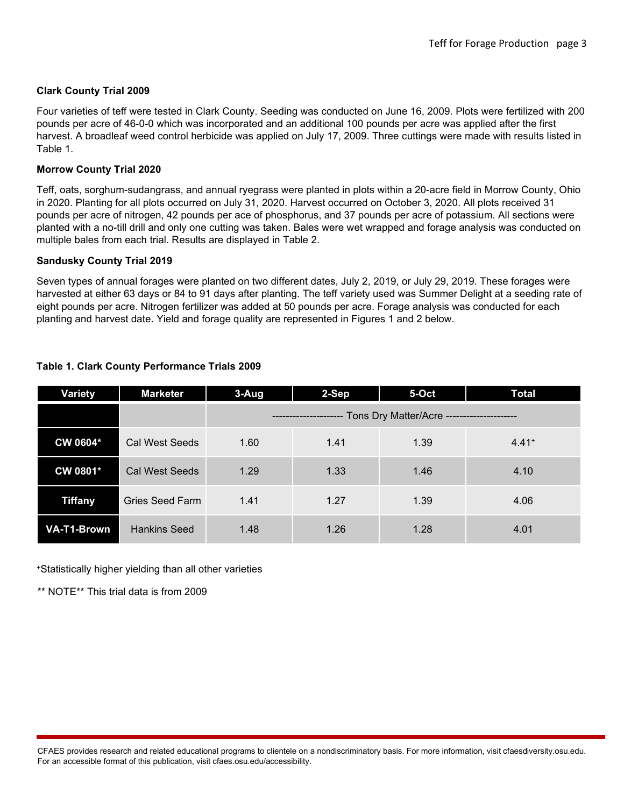#### **Clark County Trial 2009**

Four varieties of teff were tested in Clark County. Seeding was conducted on June 16, 2009. Plots were fertilized with 200 pounds per acre of 46-0-0 which was incorporated and an additional 100 pounds per acre was applied after the first harvest. A broadleaf weed control herbicide was applied on July 17, 2009. Three cuttings were made with results listed in Table 1.

#### **Morrow County Trial 2020**

Teff, oats, sorghum-sudangrass, and annual ryegrass were planted in plots within a 20-acre field in Morrow County, Ohio in 2020. Planting for all plots occurred on July 31, 2020. Harvest occurred on October 3, 2020. All plots received 31 pounds per acre of nitrogen, 42 pounds per ace of phosphorus, and 37 pounds per acre of potassium. All sections were planted with a no-till drill and only one cutting was taken. Bales were wet wrapped and forage analysis was conducted on multiple bales from each trial. Results are displayed in Table 2.

#### **Sandusky County Trial 2019**

Seven types of annual forages were planted on two different dates, July 2, 2019, or July 29, 2019. These forages were harvested at either 63 days or 84 to 91 days after planting. The teff variety used was Summer Delight at a seeding rate of eight pounds per acre. Nitrogen fertilizer was added at 50 pounds per acre. Forage analysis was conducted for each planting and harvest date. Yield and forage quality are represented in Figures 1 and 2 below.

| Variety            | <b>Marketer</b>       | $3-Aug$                                                          | 2-Sep | 5-Oct | <b>Total</b> |  |
|--------------------|-----------------------|------------------------------------------------------------------|-------|-------|--------------|--|
|                    |                       | --------------------- Tons Dry Matter/Acre --------------------- |       |       |              |  |
| CW 0604*           | Cal West Seeds        | 1.60                                                             | 1.41  | 1.39  | $4.41+$      |  |
| CW 0801*           | <b>Cal West Seeds</b> | 1.29                                                             | 1.33  | 1.46  | 4.10         |  |
| <b>Tiffany</b>     | Gries Seed Farm       | 1.41                                                             | 1.27  | 1.39  | 4.06         |  |
| <b>VA-T1-Brown</b> | <b>Hankins Seed</b>   | 1.48                                                             | 1.26  | 1.28  | 4.01         |  |

#### **Table 1. Clark County Performance Trials 2009**

+Statistically higher yielding than all other varieties

\*\* NOTE\*\* This trial data is from 2009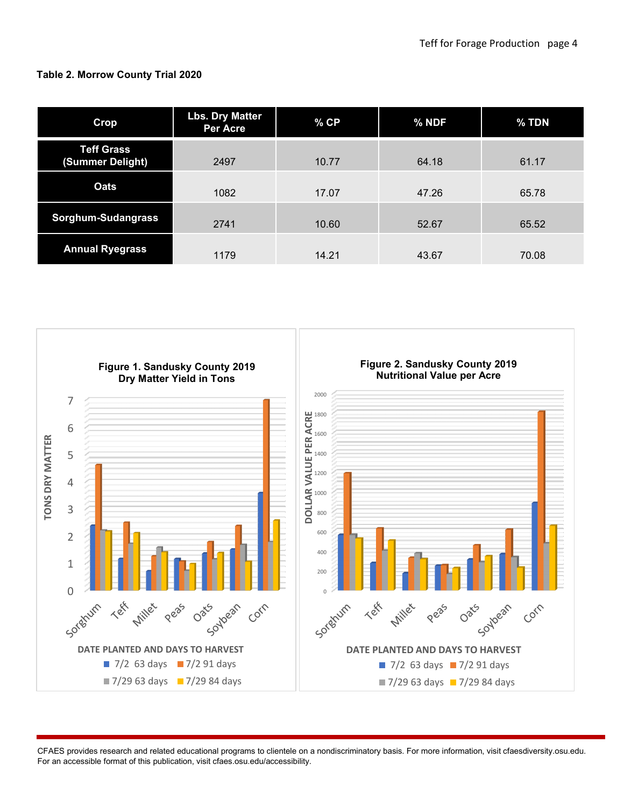## **Table 2. Morrow County Trial 2020**

| Crop                                  | <b>Lbs. Dry Matter</b><br><b>Per Acre</b> | $%$ CP | % NDF | % TDN |
|---------------------------------------|-------------------------------------------|--------|-------|-------|
| <b>Teff Grass</b><br>(Summer Delight) | 2497                                      | 10.77  | 64.18 | 61.17 |
| <b>Oats</b>                           | 1082                                      | 17.07  | 47.26 | 65.78 |
| Sorghum-Sudangrass                    | 2741                                      | 10.60  | 52.67 | 65.52 |
| <b>Annual Ryegrass</b>                | 1179                                      | 14.21  | 43.67 | 70.08 |